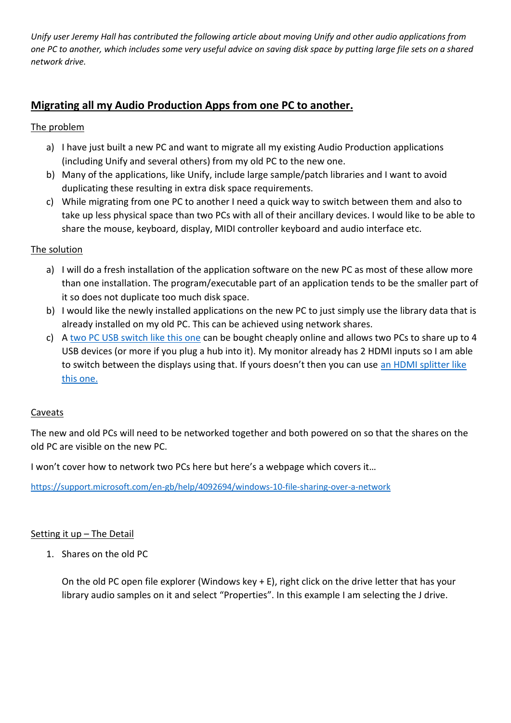*Unify user Jeremy Hall has contributed the following article about moving Unify and other audio applications from one PC to another, which includes some very useful advice on saving disk space by putting large file sets on a shared network drive.*

# **Migrating all my Audio Production Apps from one PC to another.**

## The problem

- a) I have just built a new PC and want to migrate all my existing Audio Production applications (including Unify and several others) from my old PC to the new one.
- b) Many of the applications, like Unify, include large sample/patch libraries and I want to avoid duplicating these resulting in extra disk space requirements.
- c) While migrating from one PC to another I need a quick way to switch between them and also to take up less physical space than two PCs with all of their ancillary devices. I would like to be able to share the mouse, keyboard, display, MIDI controller keyboard and audio interface etc.

### The solution

- a) I will do a fresh installation of the application software on the new PC as most of these allow more than one installation. The program/executable part of an application tends to be the smaller part of it so does not duplicate too much disk space.
- b) I would like the newly installed applications on the new PC to just simply use the library data that is already installed on my old PC. This can be achieved using network shares.
- c) A [two PC USB switch like this one](https://www.amazon.co.uk/dp/B07WMG6LB7/ref=cm_sw_em_r_mt_dp_9lHvFbBNXX29P) can be bought cheaply online and allows two PCs to share up to 4 USB devices (or more if you plug a hub into it). My monitor already has 2 HDMI inputs so I am able to switch between the displays using that. If yours doesn't then you can use an HDMI splitter like [this one.](https://www.amazon.co.uk/dp/B079FLNWJY/ref=cm_sw_em_r_mt_dp_crHvFbYK78JRD)

#### Caveats

The new and old PCs will need to be networked together and both powered on so that the shares on the old PC are visible on the new PC.

I won't cover how to network two PCs here but here's a webpage which covers it…

<https://support.microsoft.com/en-gb/help/4092694/windows-10-file-sharing-over-a-network>

#### Setting it up - The Detail

1. Shares on the old PC

On the old PC open file explorer (Windows key + E), right click on the drive letter that has your library audio samples on it and select "Properties". In this example I am selecting the J drive.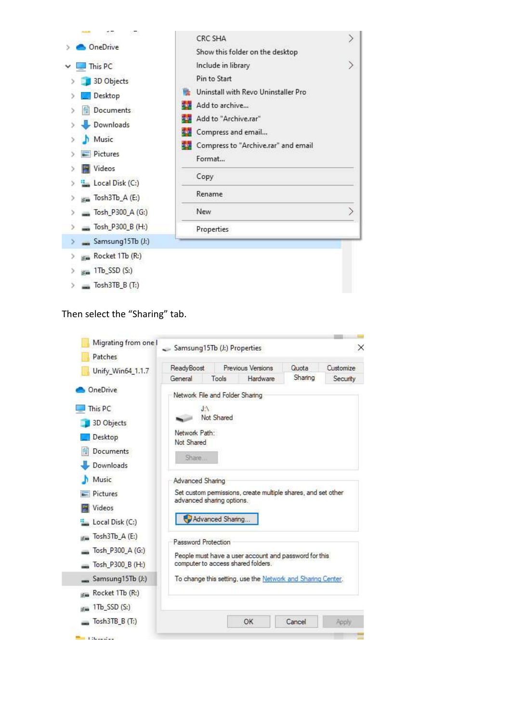

Then select the "Sharing" tab.

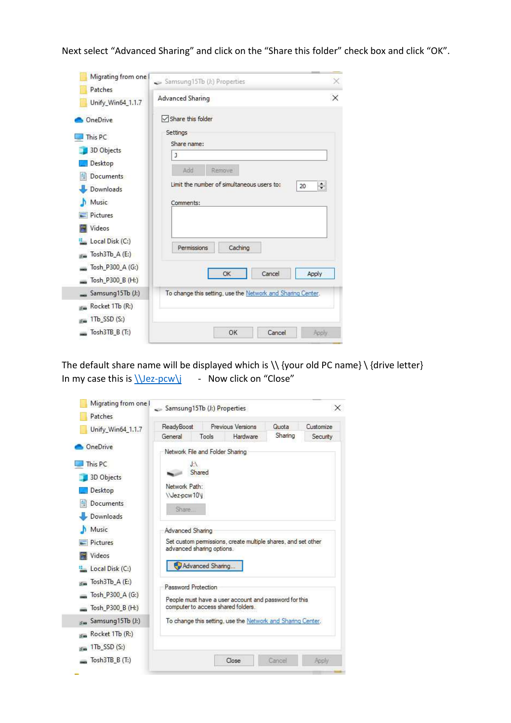Next select "Advanced Sharing" and click on the "Share this folder" check box and click "OK".

| Migrating from one                                                                                                                                                                               | Samsung15Tb (J:) Properties                                                                                                                                                                      | $\times$ |
|--------------------------------------------------------------------------------------------------------------------------------------------------------------------------------------------------|--------------------------------------------------------------------------------------------------------------------------------------------------------------------------------------------------|----------|
| Patches<br>Unify_Win64_1.1.7                                                                                                                                                                     | Advanced Sharing                                                                                                                                                                                 | $\times$ |
| <b>OneDrive</b><br>This PC<br>3D Objects<br>Desktop<br>Documents<br><b>Downloads</b><br>Music<br>Pictures<br>Videos<br>Local Disk (C:)<br>Tosh3Tb $A(E)$<br>Tosh_P300_A (G:)<br>Tosh_P300_B (H:) | Share this folder<br>Settings<br>Share name:<br>J<br>Add<br>Remove<br>Limit the number of simultaneous users to:<br>$\div$<br>20<br>Comments:<br>Caching<br>Permissions<br>Cancel<br>OK<br>Apply |          |
| Samsung15Tb (J:)<br>Rocket 1Tb (R:)<br>$1\text{Tb}$ SSD $(S_i)$<br>Tosh3TB B (T:)                                                                                                                | To change this setting, use the Network and Sharing Center.<br>OK<br>Cancel<br>Apply                                                                                                             |          |

The default share name will be displayed which is  $\setminus$  {your old PC name}  $\setminus$  {drive letter} In my case this is  $\text{V-pcw}\i - \text{Now click on "Close"}$ 

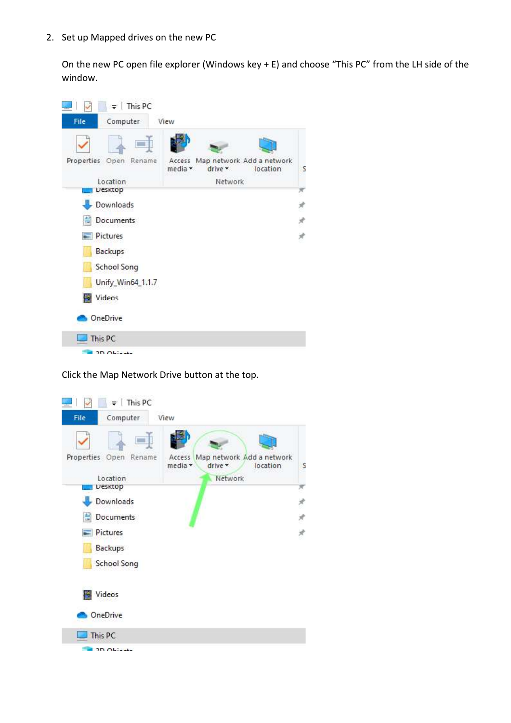2. Set up Mapped drives on the new PC

On the new PC open file explorer (Windows key + E) and choose "This PC" from the LH side of the window.



Click the Map Network Drive button at the top.

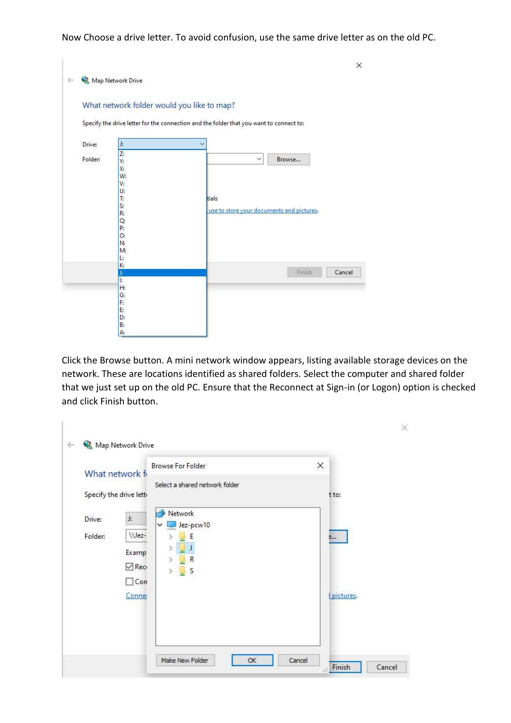Now Choose a drive letter. To avoid confusion, use the same drive letter as on the old PC.

|         | Map Network Drive                                                                     |                                                                                         |
|---------|---------------------------------------------------------------------------------------|-----------------------------------------------------------------------------------------|
|         | What network folder would you like to map?                                            |                                                                                         |
|         |                                                                                       | Specify the drive letter for the connection and the folder that you want to connect to: |
| Drive:  | J,                                                                                    |                                                                                         |
| Folder: | Z:<br>Y:<br>X:<br>W:<br>V:<br>U:<br>T:<br>S:<br>R:<br>Q.<br>P:<br>0:<br>N:<br>M:<br>Ŀ | Browse<br>$\checkmark$<br>tials<br>use to store your documents and pictures.            |
|         | K:<br>J;<br>E                                                                         | Cancel<br>Finish                                                                        |
|         | H:<br>G:<br>F:<br>E:<br>D:                                                            |                                                                                         |

Click the Browse button. A mini network window appears, listing available storage devices on the network. These are locations identified as shared folders. Select the computer and shared folder that we just set up on the old PC. Ensure that the Reconnect at Sign-in (or Logon) option is checked and click Finish button.

|         | What network fi         | <b>Browse For Folder</b><br>Select a shared network folder | X |           |
|---------|-------------------------|------------------------------------------------------------|---|-----------|
|         | Specify the drive letti |                                                            |   | t to:     |
| Drive:  | J.                      | Network                                                    |   |           |
| Folder: | \\Jez-                  | Jez-pcw10<br>v<br>E<br>$\rightarrow$                       |   | B         |
|         | Examp                   | J                                                          |   |           |
|         | $\vee$ Reci             | R<br>S<br>Š.                                               |   |           |
|         | $\Box$ Con              | 닟                                                          |   |           |
|         | Conne                   |                                                            |   | pictures. |
|         |                         |                                                            |   |           |
|         |                         |                                                            |   |           |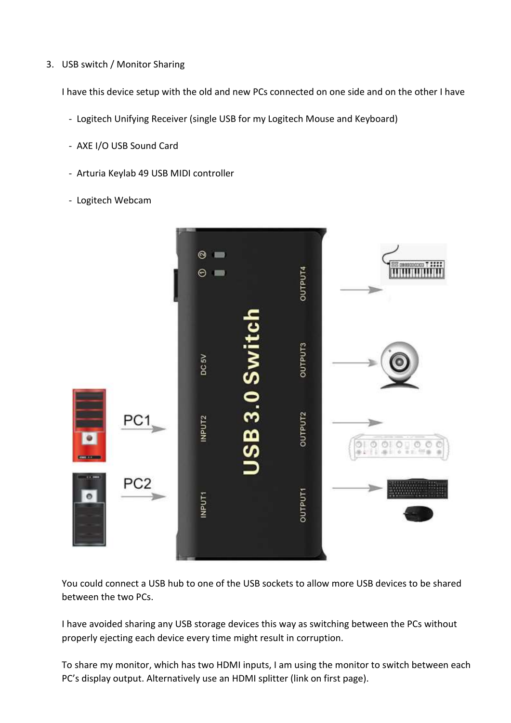3. USB switch / Monitor Sharing

I have this device setup with the old and new PCs connected on one side and on the other I have

- Logitech Unifying Receiver (single USB for my Logitech Mouse and Keyboard)
- AXE I/O USB Sound Card
- Arturia Keylab 49 USB MIDI controller
- Logitech Webcam



You could connect a USB hub to one of the USB sockets to allow more USB devices to be shared between the two PCs.

I have avoided sharing any USB storage devices this way as switching between the PCs without properly ejecting each device every time might result in corruption.

To share my monitor, which has two HDMI inputs, I am using the monitor to switch between each PC's display output. Alternatively use an HDMI splitter (link on first page).